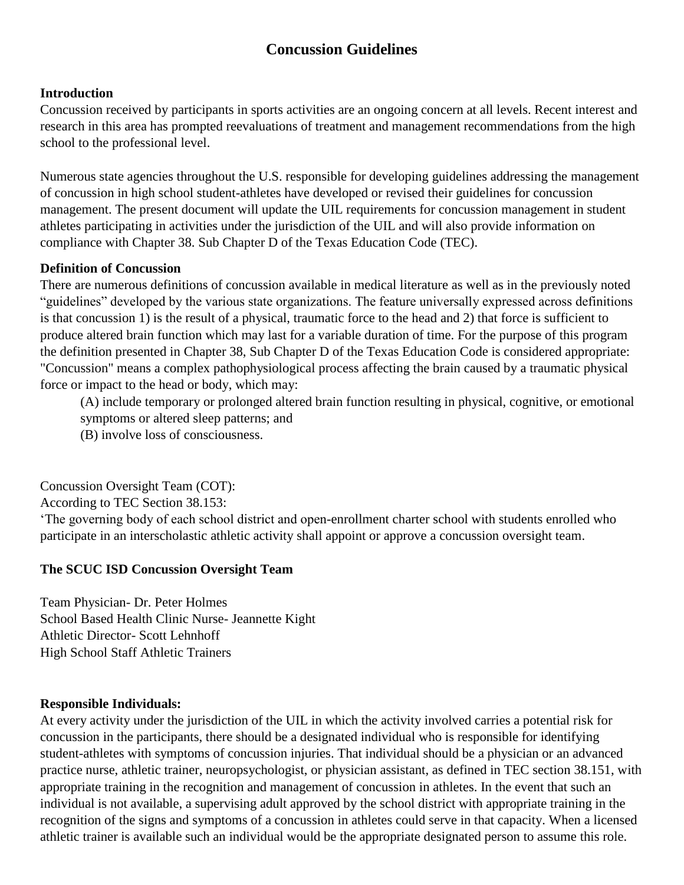# **Concussion Guidelines**

# **Introduction**

Concussion received by participants in sports activities are an ongoing concern at all levels. Recent interest and research in this area has prompted reevaluations of treatment and management recommendations from the high school to the professional level.

Numerous state agencies throughout the U.S. responsible for developing guidelines addressing the management of concussion in high school student-athletes have developed or revised their guidelines for concussion management. The present document will update the UIL requirements for concussion management in student athletes participating in activities under the jurisdiction of the UIL and will also provide information on compliance with Chapter 38. Sub Chapter D of the Texas Education Code (TEC).

# **Definition of Concussion**

There are numerous definitions of concussion available in medical literature as well as in the previously noted "guidelines" developed by the various state organizations. The feature universally expressed across definitions is that concussion 1) is the result of a physical, traumatic force to the head and 2) that force is sufficient to produce altered brain function which may last for a variable duration of time. For the purpose of this program the definition presented in Chapter 38, Sub Chapter D of the Texas Education Code is considered appropriate: "Concussion" means a complex pathophysiological process affecting the brain caused by a traumatic physical force or impact to the head or body, which may:

(A) include temporary or prolonged altered brain function resulting in physical, cognitive, or emotional symptoms or altered sleep patterns; and

(B) involve loss of consciousness.

Concussion Oversight Team (COT):

According to TEC Section 38.153:

'The governing body of each school district and open-enrollment charter school with students enrolled who participate in an interscholastic athletic activity shall appoint or approve a concussion oversight team.

# **The SCUC ISD Concussion Oversight Team**

Team Physician- Dr. Peter Holmes School Based Health Clinic Nurse- Jeannette Kight Athletic Director- Scott Lehnhoff High School Staff Athletic Trainers

# **Responsible Individuals:**

At every activity under the jurisdiction of the UIL in which the activity involved carries a potential risk for concussion in the participants, there should be a designated individual who is responsible for identifying student-athletes with symptoms of concussion injuries. That individual should be a physician or an advanced practice nurse, athletic trainer, neuropsychologist, or physician assistant, as defined in TEC section 38.151, with appropriate training in the recognition and management of concussion in athletes. In the event that such an individual is not available, a supervising adult approved by the school district with appropriate training in the recognition of the signs and symptoms of a concussion in athletes could serve in that capacity. When a licensed athletic trainer is available such an individual would be the appropriate designated person to assume this role.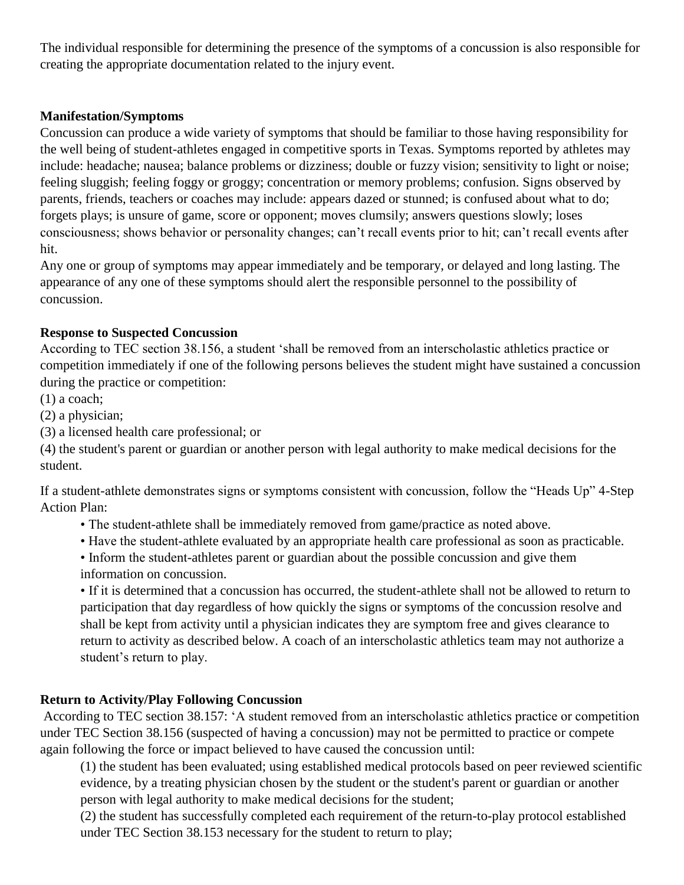The individual responsible for determining the presence of the symptoms of a concussion is also responsible for creating the appropriate documentation related to the injury event.

# **Manifestation/Symptoms**

Concussion can produce a wide variety of symptoms that should be familiar to those having responsibility for the well being of student-athletes engaged in competitive sports in Texas. Symptoms reported by athletes may include: headache; nausea; balance problems or dizziness; double or fuzzy vision; sensitivity to light or noise; feeling sluggish; feeling foggy or groggy; concentration or memory problems; confusion. Signs observed by parents, friends, teachers or coaches may include: appears dazed or stunned; is confused about what to do; forgets plays; is unsure of game, score or opponent; moves clumsily; answers questions slowly; loses consciousness; shows behavior or personality changes; can't recall events prior to hit; can't recall events after hit.

Any one or group of symptoms may appear immediately and be temporary, or delayed and long lasting. The appearance of any one of these symptoms should alert the responsible personnel to the possibility of concussion.

#### **Response to Suspected Concussion**

According to TEC section 38.156, a student 'shall be removed from an interscholastic athletics practice or competition immediately if one of the following persons believes the student might have sustained a concussion during the practice or competition:

(1) a coach;

(2) a physician;

(3) a licensed health care professional; or

(4) the student's parent or guardian or another person with legal authority to make medical decisions for the student.

If a student-athlete demonstrates signs or symptoms consistent with concussion, follow the "Heads Up" 4-Step Action Plan:

• The student-athlete shall be immediately removed from game/practice as noted above.

• Have the student-athlete evaluated by an appropriate health care professional as soon as practicable.

• Inform the student-athletes parent or guardian about the possible concussion and give them information on concussion.

• If it is determined that a concussion has occurred, the student-athlete shall not be allowed to return to participation that day regardless of how quickly the signs or symptoms of the concussion resolve and shall be kept from activity until a physician indicates they are symptom free and gives clearance to return to activity as described below. A coach of an interscholastic athletics team may not authorize a student's return to play.

# **Return to Activity/Play Following Concussion**

According to TEC section 38.157: 'A student removed from an interscholastic athletics practice or competition under TEC Section 38.156 (suspected of having a concussion) may not be permitted to practice or compete again following the force or impact believed to have caused the concussion until:

(1) the student has been evaluated; using established medical protocols based on peer reviewed scientific evidence, by a treating physician chosen by the student or the student's parent or guardian or another person with legal authority to make medical decisions for the student;

(2) the student has successfully completed each requirement of the return-to-play protocol established under TEC Section 38.153 necessary for the student to return to play;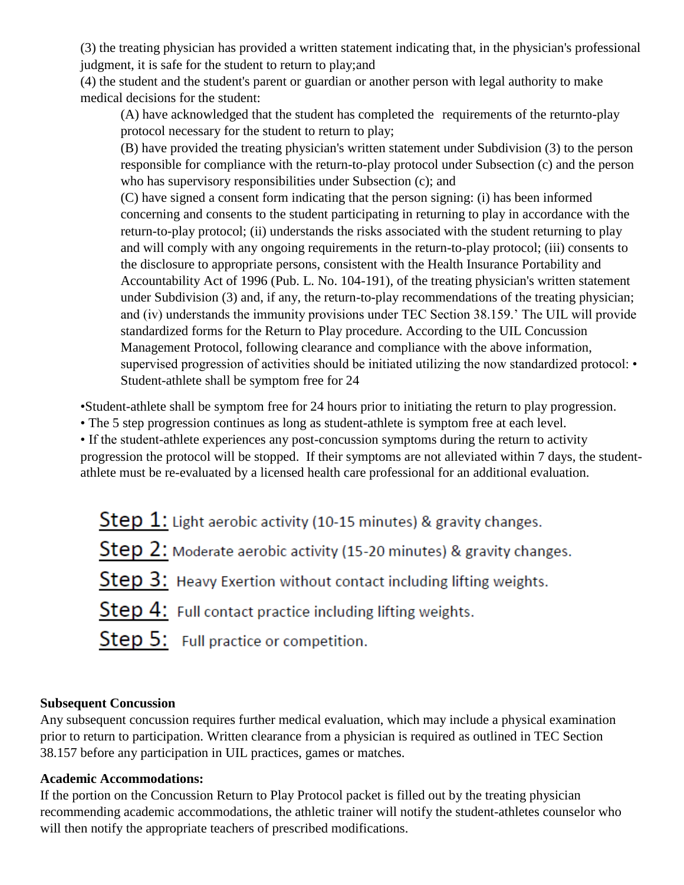(3) the treating physician has provided a written statement indicating that, in the physician's professional judgment, it is safe for the student to return to play;and

(4) the student and the student's parent or guardian or another person with legal authority to make medical decisions for the student:

(A) have acknowledged that the student has completed the requirements of the returnto-play protocol necessary for the student to return to play;

(B) have provided the treating physician's written statement under Subdivision (3) to the person responsible for compliance with the return-to-play protocol under Subsection (c) and the person who has supervisory responsibilities under Subsection (c); and

(C) have signed a consent form indicating that the person signing: (i) has been informed concerning and consents to the student participating in returning to play in accordance with the return-to-play protocol; (ii) understands the risks associated with the student returning to play and will comply with any ongoing requirements in the return-to-play protocol; (iii) consents to the disclosure to appropriate persons, consistent with the Health Insurance Portability and Accountability Act of 1996 (Pub. L. No. 104-191), of the treating physician's written statement under Subdivision (3) and, if any, the return-to-play recommendations of the treating physician; and (iv) understands the immunity provisions under TEC Section 38.159.' The UIL will provide standardized forms for the Return to Play procedure. According to the UIL Concussion Management Protocol, following clearance and compliance with the above information, supervised progression of activities should be initiated utilizing the now standardized protocol: • Student-athlete shall be symptom free for 24

•Student-athlete shall be symptom free for 24 hours prior to initiating the return to play progression.

• The 5 step progression continues as long as student-athlete is symptom free at each level.

• If the student-athlete experiences any post-concussion symptoms during the return to activity

progression the protocol will be stopped. If their symptoms are not alleviated within 7 days, the studentathlete must be re-evaluated by a licensed health care professional for an additional evaluation.

| Step $1$ : Light aerobic activity (10-15 minutes) & gravity changes. |
|----------------------------------------------------------------------|
| Step 2: Moderate aerobic activity (15-20 minutes) & gravity changes. |
| Step 3: Heavy Exertion without contact including lifting weights.    |
| Step 4: Full contact practice including lifting weights.             |

Step 5: Full practice or competition.

# **Subsequent Concussion**

Any subsequent concussion requires further medical evaluation, which may include a physical examination prior to return to participation. Written clearance from a physician is required as outlined in TEC Section 38.157 before any participation in UIL practices, games or matches.

# **Academic Accommodations:**

If the portion on the Concussion Return to Play Protocol packet is filled out by the treating physician recommending academic accommodations, the athletic trainer will notify the student-athletes counselor who will then notify the appropriate teachers of prescribed modifications.